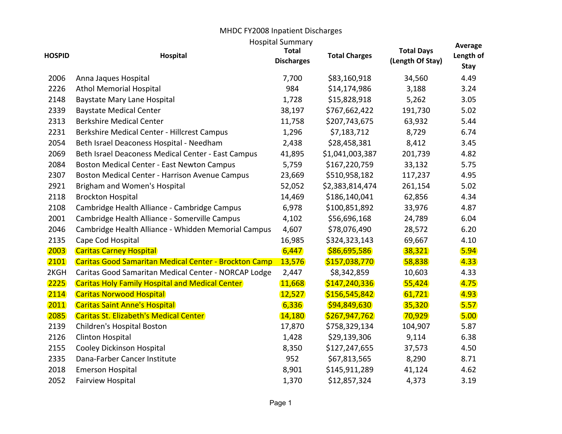## MHDC FY2008 Inpatient Discharges

| <b>Hospital Summary</b><br>Average |                                                              |                                   |                      |                                       |                          |  |  |  |
|------------------------------------|--------------------------------------------------------------|-----------------------------------|----------------------|---------------------------------------|--------------------------|--|--|--|
| <b>HOSPID</b>                      | <b>Hospital</b>                                              | <b>Total</b><br><b>Discharges</b> | <b>Total Charges</b> | <b>Total Days</b><br>(Length Of Stay) | Length of<br><b>Stay</b> |  |  |  |
| 2006                               | Anna Jaques Hospital                                         | 7,700                             | \$83,160,918         | 34,560                                | 4.49                     |  |  |  |
| 2226                               | <b>Athol Memorial Hospital</b>                               | 984                               | \$14,174,986         | 3,188                                 | 3.24                     |  |  |  |
| 2148                               | <b>Baystate Mary Lane Hospital</b>                           | 1,728                             | \$15,828,918         | 5,262                                 | 3.05                     |  |  |  |
| 2339                               | <b>Baystate Medical Center</b>                               | 38,197                            | \$767,662,422        | 191,730                               | 5.02                     |  |  |  |
| 2313                               | <b>Berkshire Medical Center</b>                              | 11,758                            | \$207,743,675        | 63,932                                | 5.44                     |  |  |  |
| 2231                               | Berkshire Medical Center - Hillcrest Campus                  | 1,296                             | \$7,183,712          | 8,729                                 | 6.74                     |  |  |  |
| 2054                               | Beth Israel Deaconess Hospital - Needham                     | 2,438                             | \$28,458,381         | 8,412                                 | 3.45                     |  |  |  |
| 2069                               | Beth Israel Deaconess Medical Center - East Campus           | 41,895                            | \$1,041,003,387      | 201,739                               | 4.82                     |  |  |  |
| 2084                               | <b>Boston Medical Center - East Newton Campus</b>            | 5,759                             | \$167,220,759        | 33,132                                | 5.75                     |  |  |  |
| 2307                               | <b>Boston Medical Center - Harrison Avenue Campus</b>        | 23,669                            | \$510,958,182        | 117,237                               | 4.95                     |  |  |  |
| 2921                               | Brigham and Women's Hospital                                 | 52,052                            | \$2,383,814,474      | 261,154                               | 5.02                     |  |  |  |
| 2118                               | <b>Brockton Hospital</b>                                     | 14,469                            | \$186,140,041        | 62,856                                | 4.34                     |  |  |  |
| 2108                               | Cambridge Health Alliance - Cambridge Campus                 | 6,978                             | \$100,851,892        | 33,976                                | 4.87                     |  |  |  |
| 2001                               | Cambridge Health Alliance - Somerville Campus                | 4,102                             | \$56,696,168         | 24,789                                | 6.04                     |  |  |  |
| 2046                               | Cambridge Health Alliance - Whidden Memorial Campus          | 4,607                             | \$78,076,490         | 28,572                                | 6.20                     |  |  |  |
| 2135                               | Cape Cod Hospital                                            | 16,985                            | \$324,323,143        | 69,667                                | 4.10                     |  |  |  |
| 2003                               | <b>Caritas Carney Hospital</b>                               | 6,447                             | \$86,695,586         | 38,321                                | 5.94                     |  |  |  |
| 2101                               | <b>Caritas Good Samaritan Medical Center - Brockton Camp</b> | 13,576                            | \$157,038,770        | 58,838                                | 4.33                     |  |  |  |
| 2KGH                               | Caritas Good Samaritan Medical Center - NORCAP Lodge         | 2,447                             | \$8,342,859          | 10,603                                | 4.33                     |  |  |  |
| 2225                               | <b>Caritas Holy Family Hospital and Medical Center</b>       | 11,668                            | \$147,240,336        | 55,424                                | 4.75                     |  |  |  |
| 2114                               | <b>Caritas Norwood Hospital</b>                              | 12,527                            | \$156,545,842        | 61,721                                | 4.93                     |  |  |  |
| 2011                               | <b>Caritas Saint Anne's Hospital</b>                         | 6,336                             | \$94,849,630         | 35,320                                | 5.57                     |  |  |  |
| 2085                               | <b>Caritas St. Elizabeth's Medical Center</b>                | 14,180                            | \$267,947,762        | 70,929                                | 5.00                     |  |  |  |
| 2139                               | Children's Hospital Boston                                   | 17,870                            | \$758,329,134        | 104,907                               | 5.87                     |  |  |  |
| 2126                               | <b>Clinton Hospital</b>                                      | 1,428                             | \$29,139,306         | 9,114                                 | 6.38                     |  |  |  |
| 2155                               | Cooley Dickinson Hospital                                    | 8,350                             | \$127,247,655        | 37,573                                | 4.50                     |  |  |  |
| 2335                               | Dana-Farber Cancer Institute                                 | 952                               | \$67,813,565         | 8,290                                 | 8.71                     |  |  |  |
| 2018                               | <b>Emerson Hospital</b>                                      | 8,901                             | \$145,911,289        | 41,124                                | 4.62                     |  |  |  |
| 2052                               | <b>Fairview Hospital</b>                                     | 1,370                             | \$12,857,324         | 4,373                                 | 3.19                     |  |  |  |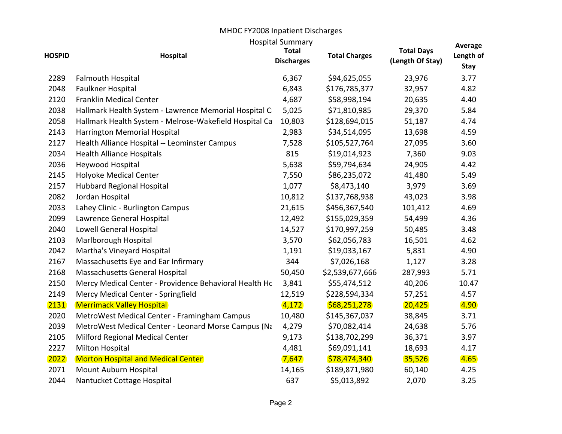## MHDC FY2008 Inpatient Discharges Hospital Summary

|               |                                                        | <b>HOSPITAL SUMMARY</b>           |                      |                                       | Average                  |
|---------------|--------------------------------------------------------|-----------------------------------|----------------------|---------------------------------------|--------------------------|
| <b>HOSPID</b> | <b>Hospital</b>                                        | <b>Total</b><br><b>Discharges</b> | <b>Total Charges</b> | <b>Total Days</b><br>(Length Of Stay) | Length of<br><b>Stay</b> |
| 2289          | <b>Falmouth Hospital</b>                               | 6,367                             | \$94,625,055         | 23,976                                | 3.77                     |
| 2048          | Faulkner Hospital                                      | 6,843                             | \$176,785,377        | 32,957                                | 4.82                     |
| 2120          | <b>Franklin Medical Center</b>                         | 4,687                             | \$58,998,194         | 20,635                                | 4.40                     |
| 2038          | Hallmark Health System - Lawrence Memorial Hospital C  | 5,025                             | \$71,810,985         | 29,370                                | 5.84                     |
| 2058          | Hallmark Health System - Melrose-Wakefield Hospital Ca | 10,803                            | \$128,694,015        | 51,187                                | 4.74                     |
| 2143          | Harrington Memorial Hospital                           | 2,983                             | \$34,514,095         | 13,698                                | 4.59                     |
| 2127          | Health Alliance Hospital -- Leominster Campus          | 7,528                             | \$105,527,764        | 27,095                                | 3.60                     |
| 2034          | <b>Health Alliance Hospitals</b>                       | 815                               | \$19,014,923         | 7,360                                 | 9.03                     |
| 2036          | Heywood Hospital                                       | 5,638                             | \$59,794,634         | 24,905                                | 4.42                     |
| 2145          | <b>Holyoke Medical Center</b>                          | 7,550                             | \$86,235,072         | 41,480                                | 5.49                     |
| 2157          | <b>Hubbard Regional Hospital</b>                       | 1,077                             | \$8,473,140          | 3,979                                 | 3.69                     |
| 2082          | Jordan Hospital                                        | 10,812                            | \$137,768,938        | 43,023                                | 3.98                     |
| 2033          | Lahey Clinic - Burlington Campus                       | 21,615                            | \$456,367,540        | 101,412                               | 4.69                     |
| 2099          | Lawrence General Hospital                              | 12,492                            | \$155,029,359        | 54,499                                | 4.36                     |
| 2040          | Lowell General Hospital                                | 14,527                            | \$170,997,259        | 50,485                                | 3.48                     |
| 2103          | Marlborough Hospital                                   | 3,570                             | \$62,056,783         | 16,501                                | 4.62                     |
| 2042          | Martha's Vineyard Hospital                             | 1,191                             | \$19,033,167         | 5,831                                 | 4.90                     |
| 2167          | Massachusetts Eye and Ear Infirmary                    | 344                               | \$7,026,168          | 1,127                                 | 3.28                     |
| 2168          | Massachusetts General Hospital                         | 50,450                            | \$2,539,677,666      | 287,993                               | 5.71                     |
| 2150          | Mercy Medical Center - Providence Behavioral Health Hc | 3,841                             | \$55,474,512         | 40,206                                | 10.47                    |
| 2149          | Mercy Medical Center - Springfield                     | 12,519                            | \$228,594,334        | 57,251                                | 4.57                     |
| 2131          | <b>Merrimack Valley Hospital</b>                       | 4,172                             | \$68,251,278         | 20,425                                | 4.90                     |
| 2020          | MetroWest Medical Center - Framingham Campus           | 10,480                            | \$145,367,037        | 38,845                                | 3.71                     |
| 2039          | MetroWest Medical Center - Leonard Morse Campus (Na    | 4,279                             | \$70,082,414         | 24,638                                | 5.76                     |
| 2105          | Milford Regional Medical Center                        | 9,173                             | \$138,702,299        | 36,371                                | 3.97                     |
| 2227          | Milton Hospital                                        | 4,481                             | \$69,091,141         | 18,693                                | 4.17                     |
| 2022          | <b>Morton Hospital and Medical Center</b>              | 7,647                             | \$78,474,340         | 35,526                                | 4.65                     |
| 2071          | Mount Auburn Hospital                                  | 14,165                            | \$189,871,980        | 60,140                                | 4.25                     |
| 2044          | Nantucket Cottage Hospital                             | 637                               | \$5,013,892          | 2,070                                 | 3.25                     |